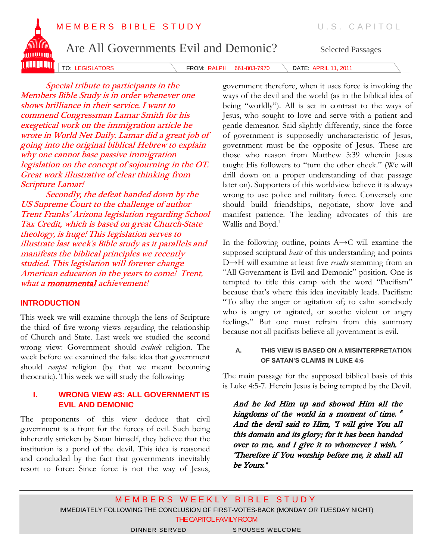



TO: LEGISLATORS **FROM: RALPH 661-803-7970** DATE: APRIL 11, 2011

Special tribute to participants in the Members Bible Study is in order whenever one shows brilliance in their service. I want to commend Congressman Lamar Smith for his exegetical work on the immigration article he wrote in World Net Daily. Lamar did a great job of going into the original biblical Hebrew to explain why one cannot base passive immigration legislation on the concept of sojourning in the OT. Great work illustrative of clear thinking from Scripture Lamar!

Secondly, the defeat handed down by the US Supreme Court to the challenge of author Trent Franks' Arizona legislation regarding School Tax Credit, which is based on great Church-State theology, is huge! This legislation serves to illustrate last week's Bible study as it parallels and manifests the biblical principles we recently studied. This legislation will forever change American education in the years to come! Trent, what a **monumental** achievement!

#### **INTRODUCTION**

This week we will examine through the lens of Scripture the third of five wrong views regarding the relationship of Church and State. Last week we studied the second wrong view: Government should *exclude* religion. The week before we examined the false idea that government should *compel* religion (by that we meant becoming theocratic). This week we will study the following:

#### **I. WRONG VIEW #3: ALL GOVERNMENT IS EVIL AND DEMONIC**

The proponents of this view deduce that civil government is a front for the forces of evil. Such being inherently stricken by Satan himself, they believe that the institution is a pond of the devil. This idea is reasoned and concluded by the fact that governments inevitably resort to force: Since force is not the way of Jesus, government therefore, when it uses force is invoking the ways of the devil and the world (as in the biblical idea of being "worldly"). All is set in contrast to the ways of Jesus, who sought to love and serve with a patient and gentle demeanor. Said slightly differently, since the force of government is supposedly uncharacteristic of Jesus, government must be the opposite of Jesus. These are those who reason from Matthew 5:39 wherein Jesus taught His followers to "turn the other cheek." (We will drill down on a proper understanding of that passage later on). Supporters of this worldview believe it is always wrong to use police and military force. Conversely one should build friendships, negotiate, show love and manifest patience. The leading advocates of this are Wallis and Boyd.<sup>1</sup>

In the following outline, points A→C will examine the supposed scriptural *basis* of this understanding and points D→H will examine at least five *results* stemming from an "All Government is Evil and Demonic" position. One is tempted to title this camp with the word "Pacifism" because that's where this idea inevitably leads. Pacifism: "To allay the anger or agitation of; to calm somebody who is angry or agitated, or soothe violent or angry feelings." But one must refrain from this summary because not all pacifists believe all government is evil.

#### **A. THIS VIEW IS BASED ON A MISINTERPRETATION OF SATAN'S CLAIMS IN LUKE 4:6**

The main passage for the supposed biblical basis of this is Luke 4:5-7. Herein Jesus is being tempted by the Devil.

And he led Him up and showed Him all the kingdoms of the world in a moment of time. 6 And the devil said to Him, "I will give You all this domain and its glory; for it has been handed over to me, and I give it to whomever I wish.  $^7$ "Therefore if You worship before me, it shall all be Yours."

M E M B E R S W E E K L Y B I B L E S T U D Y IMMEDIATELY FOLLOWING THE CONCLUSION OF FIRST-VOTES-BACK (MONDAY OR TUESDAY NIGHT) THE CAPITOL FAMILY ROOM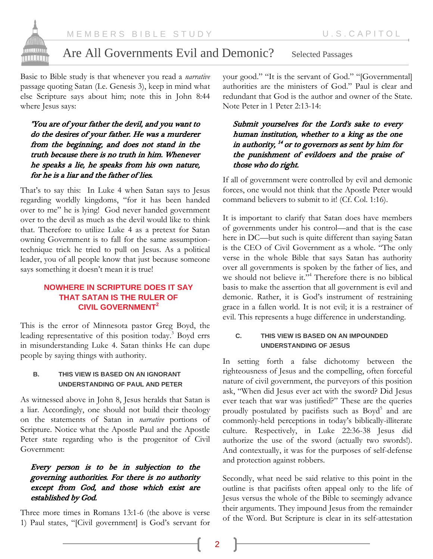

Basic to Bible study is that whenever you read a *narrative* passage quoting Satan (I.e. Genesis 3), keep in mind what else Scripture says about him; note this in John 8:44 where Jesus says:

"You are of your father the devil, and you want to do the desires of your father. He was a murderer from the beginning, and does not stand in the truth because there is no truth in him. Whenever he speaks a lie, he speaks from his own nature, for he is a liar and the father of lies.

That's to say this: In Luke 4 when Satan says to Jesus regarding worldly kingdoms, "for it has been handed over to me" he is lying! God never handed government over to the devil as much as the devil would like to think that. Therefore to utilize Luke 4 as a pretext for Satan owning Government is to fall for the same assumptiontechnique trick he tried to pull on Jesus. As a political leader, you of all people know that just because someone says something it doesn't mean it is true!

### **NOWHERE IN SCRIPTURE DOES IT SAY THAT SATAN IS THE RULER OF CIVIL GOVERNMENT<sup>2</sup>**

This is the error of Minnesota pastor Greg Boyd, the leading representative of this position today.<sup>3</sup> Boyd errs in misunderstanding Luke 4. Satan thinks He can dupe people by saying things with authority.

#### **B. THIS VIEW IS BASED ON AN IGNORANT UNDERSTANDING OF PAUL AND PETER**

As witnessed above in John 8, Jesus heralds that Satan is a liar. Accordingly, one should not build their theology on the statements of Satan in *narrative* portions of Scripture. Notice what the Apostle Paul and the Apostle Peter state regarding who is the progenitor of Civil Government:

#### Every person is to be in subjection to the governing authorities. For there is no authority except from God, and those which exist are established by God.

Three more times in Romans 13:1-6 (the above is verse 1) Paul states, "[Civil government] is God's servant for

your good." "It is the servant of God." "[Governmental] authorities are the ministers of God." Paul is clear and redundant that God is the author and owner of the State. Note Peter in 1 Peter 2:13-14:

Submit yourselves for the Lord's sake to every human institution, whether to a king as the one in authority, <sup>14</sup> or to governors as sent by him for the punishment of evildoers and the praise of those who do right.

If all of government were controlled by evil and demonic forces, one would not think that the Apostle Peter would command believers to submit to it! (Cf. Col. 1:16).

It is important to clarify that Satan does have members of governments under his control—and that is the case here in DC—but such is quite different than saying Satan is the CEO of Civil Government as a whole. "The only verse in the whole Bible that says Satan has authority over all governments is spoken by the father of lies, and we should not believe it."<sup>4</sup> Therefore there is no biblical basis to make the assertion that all government is evil and demonic. Rather, it is God's instrument of restraining grace in a fallen world. It is not evil; it is a restrainer of evil. This represents a huge difference in understanding.

#### **C. THIS VIEW IS BASED ON AN IMPOUNDED UNDERSTANDING OF JESUS**

In setting forth a false dichotomy between the righteousness of Jesus and the compelling, often forceful nature of civil government, the purveyors of this position ask, "When did Jesus ever act with the sword? Did Jesus ever teach that war was justified?" These are the queries proudly postulated by pacifists such as Boyd<sup>5</sup> and are commonly-held perceptions in today's biblically-illiterate culture. Respectively, in Luke 22:36-38 Jesus did authorize the use of the sword (actually two swords!). And contextually, it was for the purposes of self-defense and protection against robbers.

Secondly, what need be said relative to this point in the outline is that pacifists often appeal only to the life of Jesus versus the whole of the Bible to seemingly advance their arguments. They impound Jesus from the remainder of the Word. But Scripture is clear in its self-attestation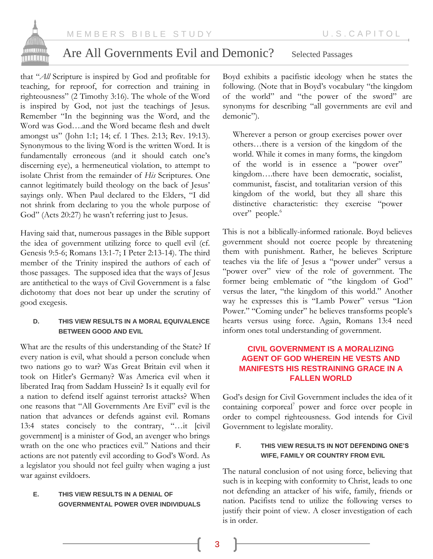

that "*All* Scripture is inspired by God and profitable for teaching, for reproof, for correction and training in righteousness" (2 Timothy 3:16). The whole of the Word is inspired by God, not just the teachings of Jesus. Remember "In the beginning was the Word, and the Word was God….and the Word became flesh and dwelt amongst us" (John 1:1; 14; cf. 1 Thes. 2:13; Rev. 19:13). Synonymous to the living Word is the written Word. It is fundamentally erroneous (and it should catch one's discerning eye), a hermeneutical violation, to attempt to isolate Christ from the remainder of *His* Scriptures. One cannot legitimately build theology on the back of Jesus' sayings only. When Paul declared to the Elders, "I did not shrink from declaring to you the whole purpose of God" (Acts 20:27) he wasn't referring just to Jesus.

Having said that, numerous passages in the Bible support the idea of government utilizing force to quell evil (cf. Genesis 9:5-6; Romans 13:1-7; I Peter 2:13-14). The third member of the Trinity inspired the authors of each of those passages. The supposed idea that the ways of Jesus are antithetical to the ways of Civil Government is a false dichotomy that does not bear up under the scrutiny of good exegesis.

#### **D. THIS VIEW RESULTS IN A MORAL EQUIVALENCE BETWEEN GOOD AND EVIL**

What are the results of this understanding of the State? If every nation is evil, what should a person conclude when two nations go to war? Was Great Britain evil when it took on Hitler's Germany? Was America evil when it liberated Iraq from Saddam Hussein? Is it equally evil for a nation to defend itself against terrorist attacks? When one reasons that "All Governments Are Evil" evil is the nation that advances or defends against evil. Romans 13:4 states concisely to the contrary, "…it [civil government] is a minister of God, an avenger who brings wrath on the one who practices evil." Nations and their actions are not patently evil according to God's Word. As a legislator you should not feel guilty when waging a just war against evildoers.

#### **E. THIS VIEW RESULTS IN A DENIAL OF GOVERNMENTAL POWER OVER INDIVIDUALS**

Boyd exhibits a pacifistic ideology when he states the following. (Note that in Boyd's vocabulary "the kingdom of the world" and "the power of the sword" are synonyms for describing "all governments are evil and demonic").

Wherever a person or group exercises power over others…there is a version of the kingdom of the world. While it comes in many forms, the kingdom of the world is in essence a "power over" kingdom….there have been democratic, socialist, communist, fascist, and totalitarian version of this kingdom of the world, but they all share this distinctive characteristic: they exercise "power over" people.<sup>6</sup>

This is not a biblically-informed rationale. Boyd believes government should not coerce people by threatening them with punishment. Rather, he believes Scripture teaches via the life of Jesus a "power under" versus a "power over" view of the role of government. The former being emblematic of "the kingdom of God" versus the later, "the kingdom of this world." Another way he expresses this is "Lamb Power" versus "Lion Power." "Coming under" he believes transforms people's hearts versus using force. Again, Romans 13:4 need inform ones total understanding of government.

### **CIVIL GOVERNMENT IS A MORALIZING AGENT OF GOD WHEREIN HE VESTS AND MANIFESTS HIS RESTRAINING GRACE IN A FALLEN WORLD**

God's design for Civil Government includes the idea of it containing corporeal<sup>7</sup> power and force over people in order to compel righteousness. God intends for Civil Government to legislate morality.

#### **F. THIS VIEW RESULTS IN NOT DEFENDING ONE'S WIFE, FAMILY OR COUNTRY FROM EVIL**

The natural conclusion of not using force, believing that such is in keeping with conformity to Christ, leads to one not defending an attacker of his wife, family, friends or nation. Pacifists tend to utilize the following verses to justify their point of view. A closer investigation of each is in order.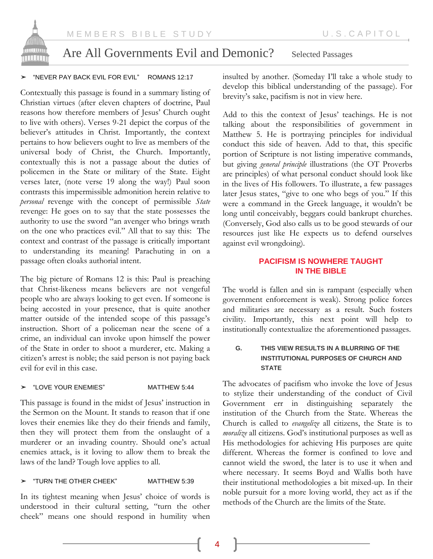

#### ➤ "NEVER PAY BACK EVIL FOR EVIL" ROMANS 12:17

Contextually this passage is found in a summary listing of Christian virtues (after eleven chapters of doctrine, Paul reasons how therefore members of Jesus' Church ought to live with others). Verses 9-21 depict the corpus of the believer's attitudes in Christ. Importantly, the context pertains to how believers ought to live as members of the universal body of Christ, the Church. Importantly, contextually this is not a passage about the duties of policemen in the State or military of the State. Eight verses later, (note verse 19 along the way!) Paul soon contrasts this impermissible admonition herein relative to *personal* revenge with the concept of permissible *State* revenge: He goes on to say that the state possesses the authority to use the sword "an avenger who brings wrath on the one who practices evil." All that to say this: The context and contrast of the passage is critically important to understanding its meaning! Parachuting in on a passage often cloaks authorial intent.

The big picture of Romans 12 is this: Paul is preaching that Christ-likeness means believers are not vengeful people who are always looking to get even. If someone is being accosted in your presence, that is quite another matter outside of the intended scope of this passage's instruction. Short of a policeman near the scene of a crime, an individual can invoke upon himself the power of the State in order to shoot a murderer, etc. Making a citizen's arrest is noble; the said person is not paying back evil for evil in this case.

#### ➤ "LOVE YOUR ENEMIES" MATTHEW 5:44

This passage is found in the midst of Jesus' instruction in the Sermon on the Mount. It stands to reason that if one loves their enemies like they do their friends and family, then they will protect them from the onslaught of a murderer or an invading country. Should one's actual enemies attack, is it loving to allow them to break the laws of the land? Tough love applies to all.

#### ➤ "TURN THE OTHER CHEEK" MATTHEW 5:39

In its tightest meaning when Jesus' choice of words is understood in their cultural setting, "turn the other cheek" means one should respond in humility when insulted by another. (Someday I'll take a whole study to develop this biblical understanding of the passage). For brevity's sake, pacifism is not in view here.

Add to this the context of Jesus' teachings. He is not talking about the responsibilities of government in Matthew 5. He is portraying principles for individual conduct this side of heaven. Add to that, this specific portion of Scripture is not listing imperative commands, but giving *general principle* illustrations (the OT Proverbs are principles) of what personal conduct should look like in the lives of His followers. To illustrate, a few passages later Jesus states, "give to one who begs of you." If this were a command in the Greek language, it wouldn't be long until conceivably, beggars could bankrupt churches. (Conversely, God also calls us to be good stewards of our resources just like He expects us to defend ourselves against evil wrongdoing).

#### **PACIFISM IS NOWHERE TAUGHT IN THE BIBLE**

The world is fallen and sin is rampant (especially when government enforcement is weak). Strong police forces and militaries are necessary as a result. Such fosters civility. Importantly, this next point will help to institutionally contextualize the aforementioned passages.

#### **G. THIS VIEW RESULTS IN A BLURRING OF THE INSTITUTIONAL PURPOSES OF CHURCH AND STATE**

The advocates of pacifism who invoke the love of Jesus to stylize their understanding of the conduct of Civil Government err in distinguishing separately the institution of the Church from the State. Whereas the Church is called to *evangelize* all citizens, the State is to *moralize* all citizens. God's institutional purposes as well as His methodologies for achieving His purposes are quite different. Whereas the former is confined to love and cannot wield the sword, the later is to use it when and where necessary. It seems Boyd and Wallis both have their institutional methodologies a bit mixed-up. In their noble pursuit for a more loving world, they act as if the methods of the Church are the limits of the State.

4